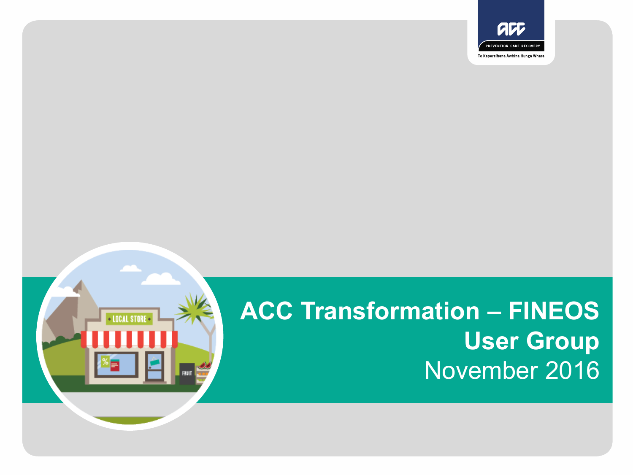

# **ACC Transformation – FINEOS User Group** November 2016

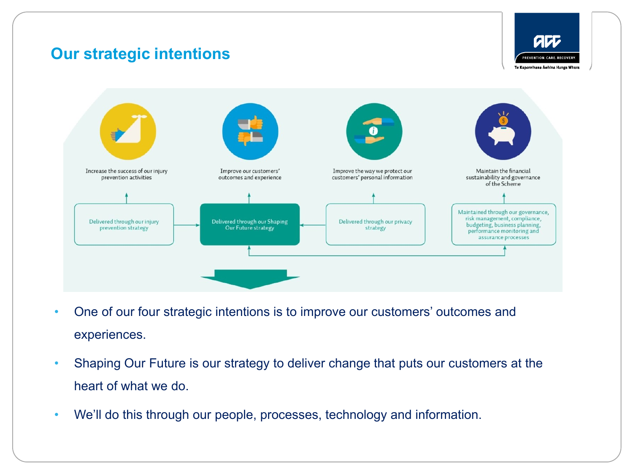## **Our strategic intentions**





- One of our four strategic intentions is to improve our customers' outcomes and experiences.
- Shaping Our Future is our strategy to deliver change that puts our customers at the heart of what we do.
- We'll do this through our people, processes, technology and information.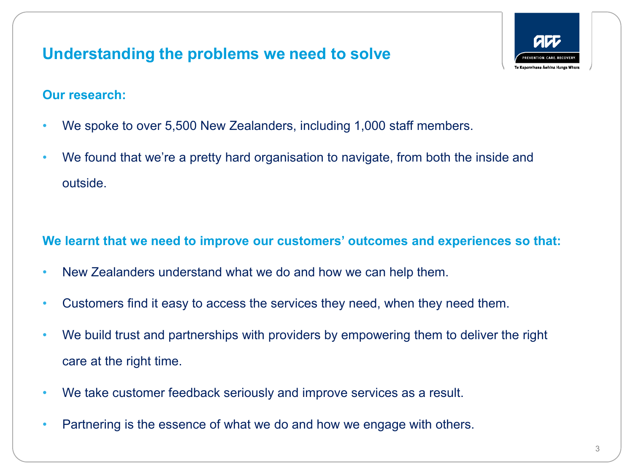## **Understanding the problems we need to solve**



#### **Our research:**

- We spoke to over 5,500 New Zealanders, including 1,000 staff members.
- We found that we're a pretty hard organisation to navigate, from both the inside and outside.

#### **We learnt that we need to improve our customers' outcomes and experiences so that:**

- New Zealanders understand what we do and how we can help them.
- Customers find it easy to access the services they need, when they need them.
- We build trust and partnerships with providers by empowering them to deliver the right care at the right time.
- We take customer feedback seriously and improve services as a result.
- Partnering is the essence of what we do and how we engage with others.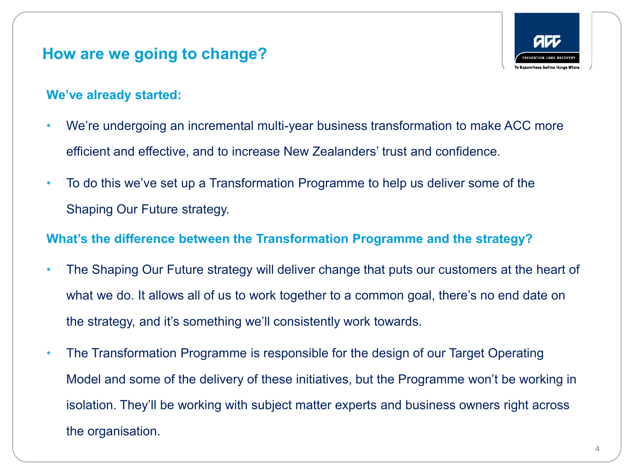#### **How are we going to change?**



#### **We've already started:**

- We're undergoing an incremental multi-year business transformation to make ACC more efficient and effective, and to increase New Zealanders' trust and confidence.
- To do this we've set up a Transformation Programme to help us deliver some of the Shaping Our Future strategy.

#### **What's the difference between the Transformation Programme and the strategy?**

- The Shaping Our Future strategy will deliver change that puts our customers at the heart of what we do. It allows all of us to work together to a common goal, there's no end date on the strategy, and it's something we'll consistently work towards.
- The Transformation Programme is responsible for the design of our Target Operating Model and some of the delivery of these initiatives, but the Programme won't be working in isolation. They'll be working with subject matter experts and business owners right across the organisation.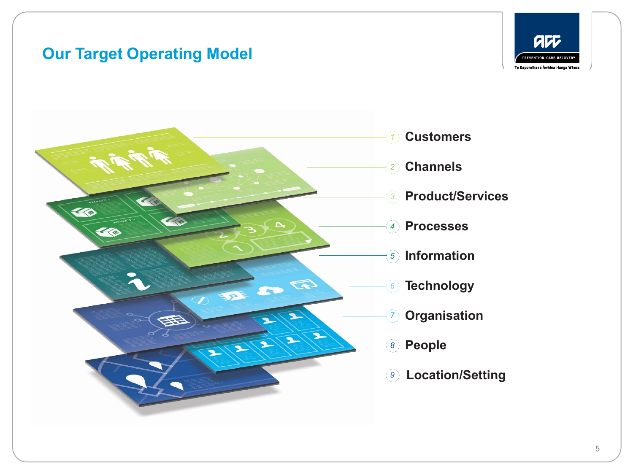## **Our Target Operating Model**



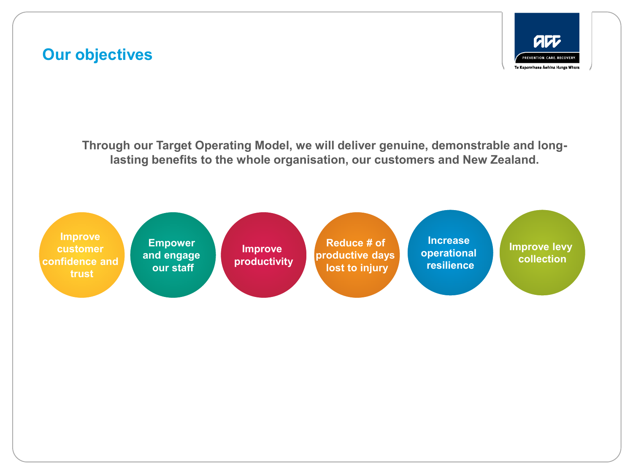## **Our objectives**



**Through our Target Operating Model, we will deliver genuine, demonstrable and longlasting benefits to the whole organisation, our customers and New Zealand.** 

**Improve customer confidence and trust**

**Empower and engage our staff**

**Planning Phase** *(September 2014 – December 2015)* **productivity**

**Integrated Design & Reduce # of productive days lost to injury**

**Increase operational resilience**

**Improve levy collection**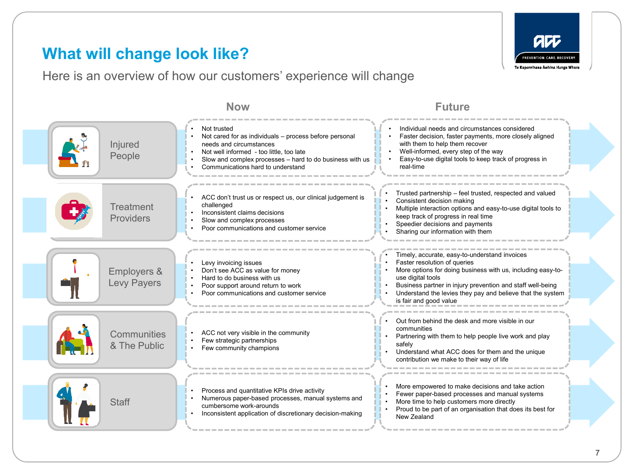## **What will change look like?**

Here is an overview of how our customers' experience will change



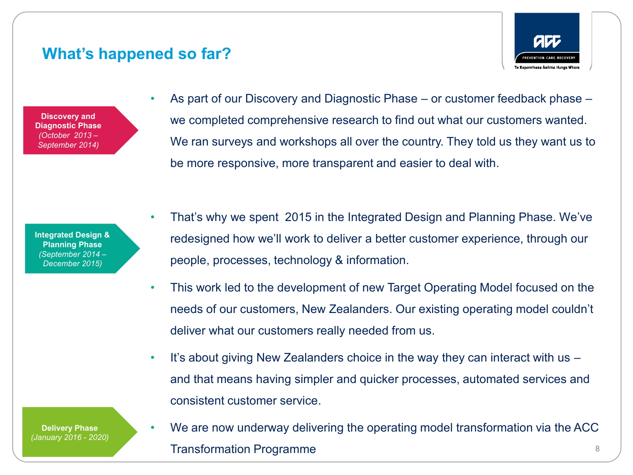#### **What's happened so far?**

**Discovery and Diagnostic Phase**  *(October 2013 – September 2014)*

• As part of our Discovery and Diagnostic Phase – or customer feedback phase – we completed comprehensive research to find out what our customers wanted. We ran surveys and workshops all over the country. They told us they want us to be more responsive, more transparent and easier to deal with.

**REVENTION, CARE, RECOVERY** Te Kaporelhana Äwhina Hunga Whara

**Integrated Design & Planning Phase** *(September 2014 – December 2015)*

- That's why we spent 2015 in the Integrated Design and Planning Phase. We've redesigned how we'll work to deliver a better customer experience, through our people, processes, technology & information.
- This work led to the development of new Target Operating Model focused on the needs of our customers, New Zealanders. Our existing operating model couldn't deliver what our customers really needed from us.
- It's about giving New Zealanders choice in the way they can interact with us and that means having simpler and quicker processes, automated services and consistent customer service.

**Delivery Phase** *(January 2016 - 2020)* • We are now underway delivering the operating model transformation via the ACC Transformation Programme 8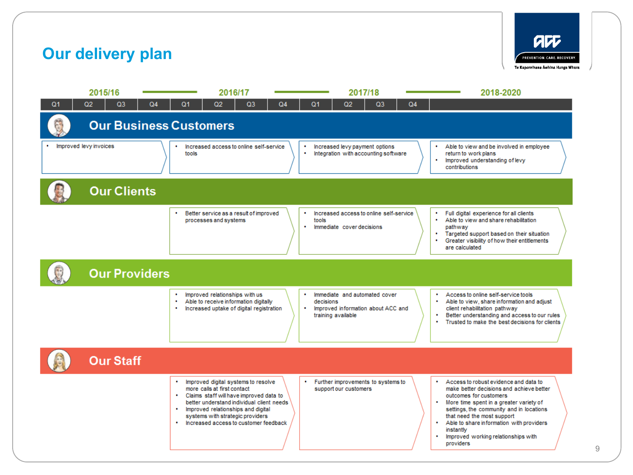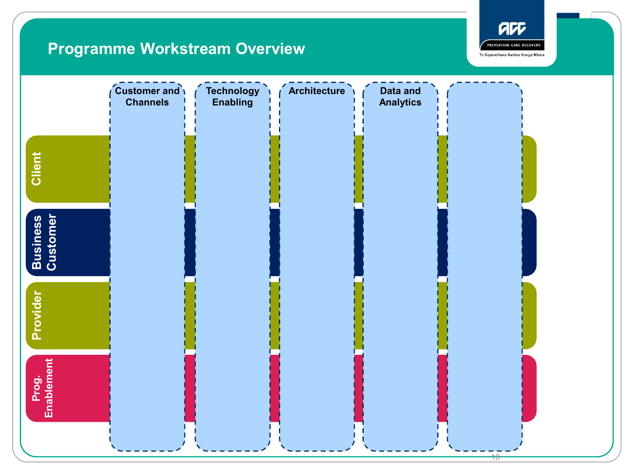# **Programme Workstream Overview**



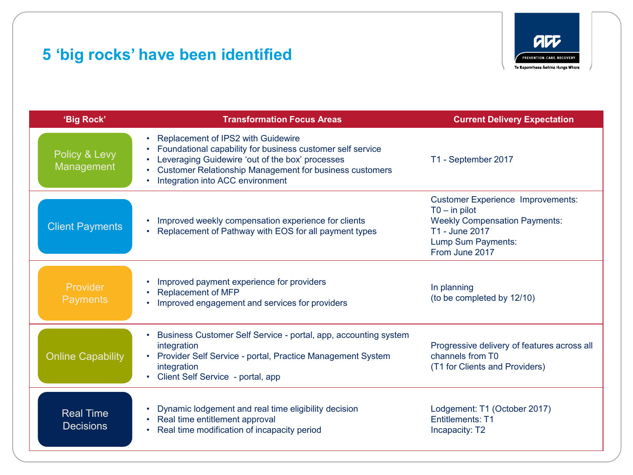# **5 'big rocks' have been identified**



| 'Big Rock'                           | <b>Transformation Focus Areas</b>                                                                                                                                                                                                                                      | <b>Current Delivery Expectation</b>                                                                                                                           |
|--------------------------------------|------------------------------------------------------------------------------------------------------------------------------------------------------------------------------------------------------------------------------------------------------------------------|---------------------------------------------------------------------------------------------------------------------------------------------------------------|
| Policy & Levy<br>Management          | Replacement of IPS2 with Guidewire<br>$\bullet$<br>Foundational capability for business customer self service<br>Leveraging Guidewire 'out of the box' processes<br><b>Customer Relationship Management for business customers</b><br>Integration into ACC environment | T1 - September 2017                                                                                                                                           |
| <b>Client Payments</b>               | Improved weekly compensation experience for clients<br>Replacement of Pathway with EOS for all payment types                                                                                                                                                           | <b>Customer Experience Improvements:</b><br>$TO - in pilot$<br><b>Weekly Compensation Payments:</b><br>T1 - June 2017<br>Lump Sum Payments:<br>From June 2017 |
| Provider<br><b>Payments</b>          | Improved payment experience for providers<br>$\bullet$<br><b>Replacement of MFP</b><br>$\bullet$<br>Improved engagement and services for providers                                                                                                                     | In planning<br>(to be completed by 12/10)                                                                                                                     |
| <b>Online Capability</b>             | Business Customer Self Service - portal, app, accounting system<br>integration<br>Provider Self Service - portal, Practice Management System<br>integration<br>Client Self Service - portal, app                                                                       | Progressive delivery of features across all<br>channels from T0<br>(T1 for Clients and Providers)                                                             |
| <b>Real Time</b><br><b>Decisions</b> | Dynamic lodgement and real time eligibility decision<br>$\bullet$<br>Real time entitlement approval<br>$\bullet$<br>Real time modification of incapacity period                                                                                                        | Lodgement: T1 (October 2017)<br><b>Entitlements: T1</b><br>Incapacity: T2                                                                                     |